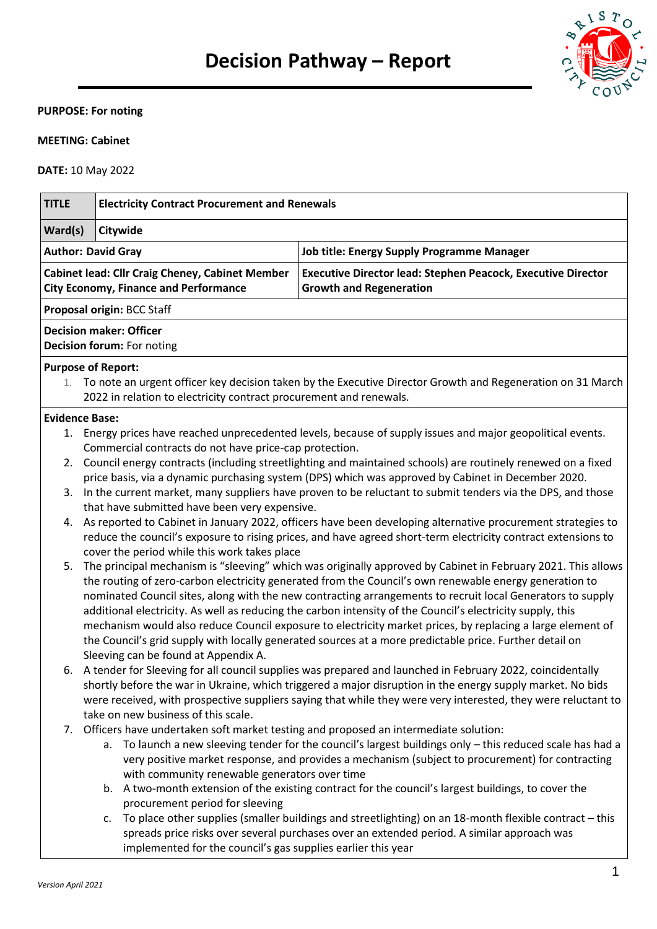

# **PURPOSE: For noting**

## **MEETING: Cabinet**

**DATE:** 10 May 2022

| <b>TITLE</b>              | <b>Electricity Contract Procurement and Renewals</b>                                                                                                                                                                                                                                                                                                                                                                                                                                                                                                                                                                                                                        |                                                                                                                                                                                                                |  |  |  |
|---------------------------|-----------------------------------------------------------------------------------------------------------------------------------------------------------------------------------------------------------------------------------------------------------------------------------------------------------------------------------------------------------------------------------------------------------------------------------------------------------------------------------------------------------------------------------------------------------------------------------------------------------------------------------------------------------------------------|----------------------------------------------------------------------------------------------------------------------------------------------------------------------------------------------------------------|--|--|--|
| Ward(s)                   | Citywide                                                                                                                                                                                                                                                                                                                                                                                                                                                                                                                                                                                                                                                                    |                                                                                                                                                                                                                |  |  |  |
| <b>Author: David Gray</b> |                                                                                                                                                                                                                                                                                                                                                                                                                                                                                                                                                                                                                                                                             | <b>Job title: Energy Supply Programme Manager</b>                                                                                                                                                              |  |  |  |
|                           | Cabinet lead: Cllr Craig Cheney, Cabinet Member<br><b>City Economy, Finance and Performance</b>                                                                                                                                                                                                                                                                                                                                                                                                                                                                                                                                                                             | <b>Executive Director lead: Stephen Peacock, Executive Director</b><br><b>Growth and Regeneration</b>                                                                                                          |  |  |  |
|                           | Proposal origin: BCC Staff                                                                                                                                                                                                                                                                                                                                                                                                                                                                                                                                                                                                                                                  |                                                                                                                                                                                                                |  |  |  |
|                           | <b>Decision maker: Officer</b><br>Decision forum: For noting                                                                                                                                                                                                                                                                                                                                                                                                                                                                                                                                                                                                                |                                                                                                                                                                                                                |  |  |  |
|                           | <b>Purpose of Report:</b>                                                                                                                                                                                                                                                                                                                                                                                                                                                                                                                                                                                                                                                   |                                                                                                                                                                                                                |  |  |  |
|                           | 2022 in relation to electricity contract procurement and renewals.                                                                                                                                                                                                                                                                                                                                                                                                                                                                                                                                                                                                          | 1. To note an urgent officer key decision taken by the Executive Director Growth and Regeneration on 31 March                                                                                                  |  |  |  |
| <b>Evidence Base:</b>     |                                                                                                                                                                                                                                                                                                                                                                                                                                                                                                                                                                                                                                                                             |                                                                                                                                                                                                                |  |  |  |
|                           |                                                                                                                                                                                                                                                                                                                                                                                                                                                                                                                                                                                                                                                                             | 1. Energy prices have reached unprecedented levels, because of supply issues and major geopolitical events.                                                                                                    |  |  |  |
| 2.                        | Commercial contracts do not have price-cap protection.<br>Council energy contracts (including streetlighting and maintained schools) are routinely renewed on a fixed<br>price basis, via a dynamic purchasing system (DPS) which was approved by Cabinet in December 2020.                                                                                                                                                                                                                                                                                                                                                                                                 |                                                                                                                                                                                                                |  |  |  |
| 3.                        | In the current market, many suppliers have proven to be reluctant to submit tenders via the DPS, and those<br>that have submitted have been very expensive.                                                                                                                                                                                                                                                                                                                                                                                                                                                                                                                 |                                                                                                                                                                                                                |  |  |  |
|                           | 4. As reported to Cabinet in January 2022, officers have been developing alternative procurement strategies to<br>reduce the council's exposure to rising prices, and have agreed short-term electricity contract extensions to<br>cover the period while this work takes place                                                                                                                                                                                                                                                                                                                                                                                             |                                                                                                                                                                                                                |  |  |  |
| 5.                        | The principal mechanism is "sleeving" which was originally approved by Cabinet in February 2021. This allows<br>the routing of zero-carbon electricity generated from the Council's own renewable energy generation to<br>nominated Council sites, along with the new contracting arrangements to recruit local Generators to supply<br>additional electricity. As well as reducing the carbon intensity of the Council's electricity supply, this<br>mechanism would also reduce Council exposure to electricity market prices, by replacing a large element of<br>the Council's grid supply with locally generated sources at a more predictable price. Further detail on |                                                                                                                                                                                                                |  |  |  |
|                           | Sleeving can be found at Appendix A.                                                                                                                                                                                                                                                                                                                                                                                                                                                                                                                                                                                                                                        | 6. A tender for Sleeving for all council supplies was prepared and launched in February 2022, coincidentally                                                                                                   |  |  |  |
|                           |                                                                                                                                                                                                                                                                                                                                                                                                                                                                                                                                                                                                                                                                             | shortly before the war in Ukraine, which triggered a major disruption in the energy supply market. No bids                                                                                                     |  |  |  |
|                           |                                                                                                                                                                                                                                                                                                                                                                                                                                                                                                                                                                                                                                                                             | were received, with prospective suppliers saying that while they were very interested, they were reluctant to                                                                                                  |  |  |  |
|                           | take on new business of this scale.                                                                                                                                                                                                                                                                                                                                                                                                                                                                                                                                                                                                                                         |                                                                                                                                                                                                                |  |  |  |
|                           | 7. Officers have undertaken soft market testing and proposed an intermediate solution:<br>with community renewable generators over time                                                                                                                                                                                                                                                                                                                                                                                                                                                                                                                                     | a. To launch a new sleeving tender for the council's largest buildings only - this reduced scale has had a<br>very positive market response, and provides a mechanism (subject to procurement) for contracting |  |  |  |
|                           | procurement period for sleeving                                                                                                                                                                                                                                                                                                                                                                                                                                                                                                                                                                                                                                             | b. A two-month extension of the existing contract for the council's largest buildings, to cover the                                                                                                            |  |  |  |
|                           | c.<br>implemented for the council's gas supplies earlier this year                                                                                                                                                                                                                                                                                                                                                                                                                                                                                                                                                                                                          | To place other supplies (smaller buildings and streetlighting) on an 18-month flexible contract - this<br>spreads price risks over several purchases over an extended period. A similar approach was           |  |  |  |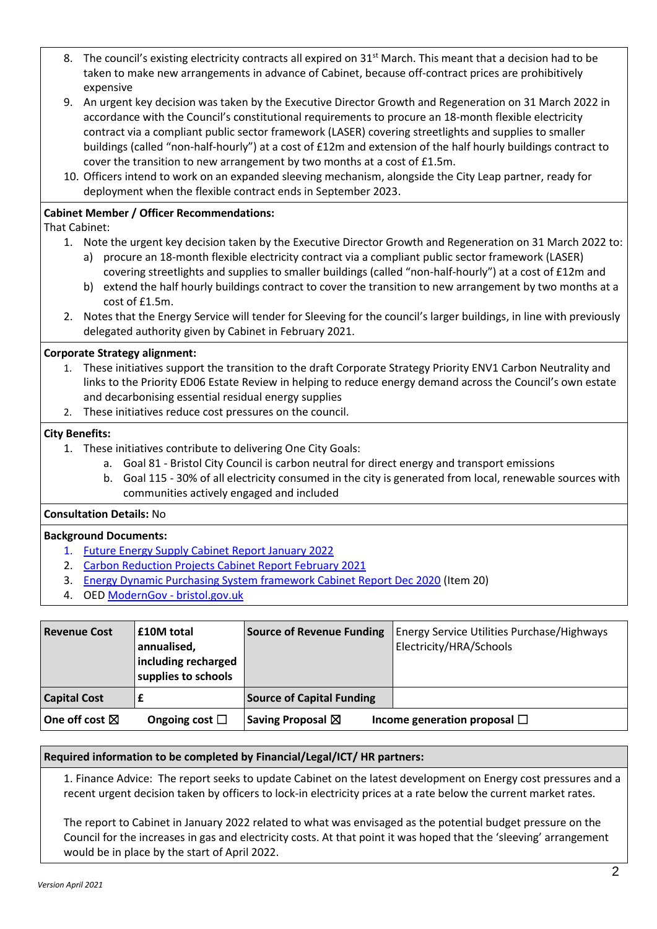- 8. The council's existing electricity contracts all expired on 31<sup>st</sup> March. This meant that a decision had to be taken to make new arrangements in advance of Cabinet, because off-contract prices are prohibitively expensive
- 9. An urgent key decision was taken by the Executive Director Growth and Regeneration on 31 March 2022 in accordance with the Council's constitutional requirements to procure an 18-month flexible electricity contract via a compliant public sector framework (LASER) covering streetlights and supplies to smaller buildings (called "non-half-hourly") at a cost of £12m and extension of the half hourly buildings contract to cover the transition to new arrangement by two months at a cost of £1.5m.
- 10. Officers intend to work on an expanded sleeving mechanism, alongside the City Leap partner, ready for deployment when the flexible contract ends in September 2023.

## **Cabinet Member / Officer Recommendations:**

That Cabinet:

- 1. Note the urgent key decision taken by the Executive Director Growth and Regeneration on 31 March 2022 to:
	- a) procure an 18-month flexible electricity contract via a compliant public sector framework (LASER) covering streetlights and supplies to smaller buildings (called "non-half-hourly") at a cost of £12m and b) extend the half hourly buildings contract to cover the transition to new arrangement by two months at a
- cost of £1.5m. 2. Notes that the Energy Service will tender for Sleeving for the council's larger buildings, in line with previously delegated authority given by Cabinet in February 2021.

## **Corporate Strategy alignment:**

- 1. These initiatives support the transition to the draft Corporate Strategy Priority ENV1 Carbon Neutrality and links to the Priority ED06 Estate Review in helping to reduce energy demand across the Council's own estate and decarbonising essential residual energy supplies
- 2. These initiatives reduce cost pressures on the council.

### **City Benefits:**

- 1. These initiatives contribute to delivering One City Goals:
	- a. Goal 81 Bristol City Council is carbon neutral for direct energy and transport emissions
	- b. Goal 115 30% of all electricity consumed in the city is generated from local, renewable sources with communities actively engaged and included

#### **Consultation Details:** No

#### **Background Documents:**

- 1. [Future Energy Supply Cabinet Report January 2022](https://democracy.bristol.gov.uk/mgDecisionDetails.aspx?IId=36029&Opt=1)
- 2. [Carbon Reduction Projects Cabinet Report February 2021](https://democracy.bristol.gov.uk/mgDecisionDetails.aspx?IId=31369&Opt=1)
- 3. [Energy Dynamic Purchasing System framework Cabinet Report Dec 2020](https://democracy.bristol.gov.uk/ieListDocuments.aspx?CId=135&MId=8402&Ver=4) (Item 20)
- 4. OE[D ModernGov -](https://democracy.bristol.gov.uk/ieDecisionDetails.aspx?ID=1336) bristol.gov.uk

| <b>Revenue Cost</b>      | <b>£10M</b> total<br>annualised,<br>including recharged<br>supplies to schools | <b>Source of Revenue Funding</b> | Energy Service Utilities Purchase/Highways<br>Electricity/HRA/Schools |
|--------------------------|--------------------------------------------------------------------------------|----------------------------------|-----------------------------------------------------------------------|
| <b>Capital Cost</b>      | £                                                                              | <b>Source of Capital Funding</b> |                                                                       |
| One off cost $\boxtimes$ | Ongoing cost $\Box$                                                            | Saving Proposal $\boxtimes$      | Income generation proposal $\Box$                                     |

#### **Required information to be completed by Financial/Legal/ICT/ HR partners:**

1. Finance Advice: The report seeks to update Cabinet on the latest development on Energy cost pressures and a recent urgent decision taken by officers to lock-in electricity prices at a rate below the current market rates.

The report to Cabinet in January 2022 related to what was envisaged as the potential budget pressure on the Council for the increases in gas and electricity costs. At that point it was hoped that the 'sleeving' arrangement would be in place by the start of April 2022.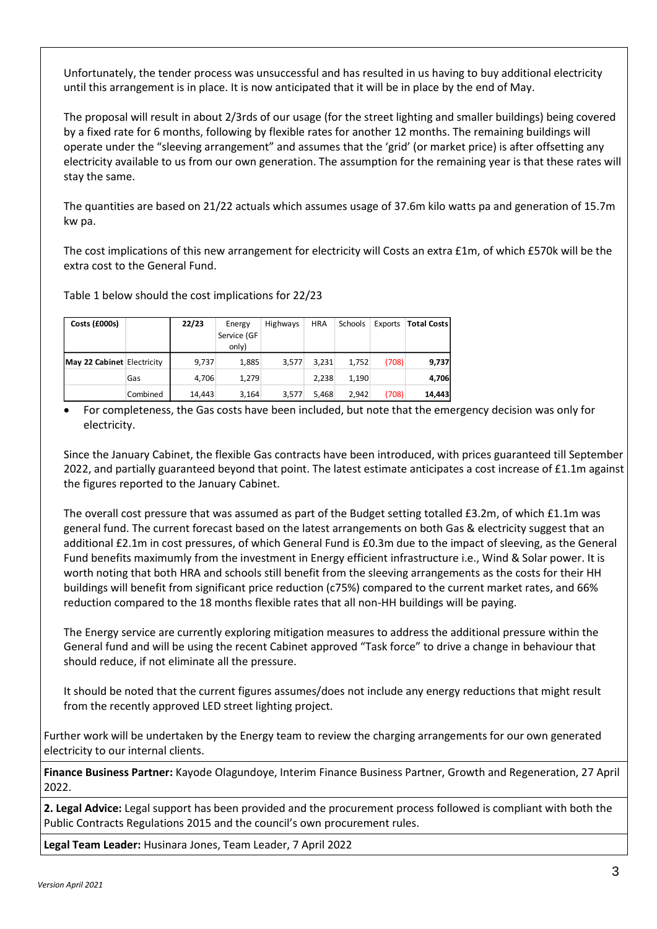Unfortunately, the tender process was unsuccessful and has resulted in us having to buy additional electricity until this arrangement is in place. It is now anticipated that it will be in place by the end of May.

The proposal will result in about 2/3rds of our usage (for the street lighting and smaller buildings) being covered by a fixed rate for 6 months, following by flexible rates for another 12 months. The remaining buildings will operate under the "sleeving arrangement" and assumes that the 'grid' (or market price) is after offsetting any electricity available to us from our own generation. The assumption for the remaining year is that these rates will stay the same.

The quantities are based on 21/22 actuals which assumes usage of 37.6m kilo watts pa and generation of 15.7m kw pa.

The cost implications of this new arrangement for electricity will Costs an extra £1m, of which £570k will be the extra cost to the General Fund.

Table 1 below should the cost implications for 22/23

| Costs (£000s)              |          | 22/23  | Energy      | Highways | <b>HRA</b> | Schools | Exports | <b>Total Costs</b> |
|----------------------------|----------|--------|-------------|----------|------------|---------|---------|--------------------|
|                            |          |        | Service (GF |          |            |         |         |                    |
|                            |          |        | only)       |          |            |         |         |                    |
| May 22 Cabinet Electricity |          | 9,737  | 1,885       | 3.577    | 3,231      | 1,752   | (708)   | 9,737              |
|                            | Gas      | 4.706  | 1,279       |          | 2.238      | 1,190   |         | 4,706              |
|                            | Combined | 14,443 | 3,164       | 3,577    | 5.468      | 2.942   | (708)   | 14,443             |

 For completeness, the Gas costs have been included, but note that the emergency decision was only for electricity.

Since the January Cabinet, the flexible Gas contracts have been introduced, with prices guaranteed till September 2022, and partially guaranteed beyond that point. The latest estimate anticipates a cost increase of £1.1m against the figures reported to the January Cabinet.

The overall cost pressure that was assumed as part of the Budget setting totalled £3.2m, of which £1.1m was general fund. The current forecast based on the latest arrangements on both Gas & electricity suggest that an additional £2.1m in cost pressures, of which General Fund is £0.3m due to the impact of sleeving, as the General Fund benefits maximumly from the investment in Energy efficient infrastructure i.e., Wind & Solar power. It is worth noting that both HRA and schools still benefit from the sleeving arrangements as the costs for their HH buildings will benefit from significant price reduction (c75%) compared to the current market rates, and 66% reduction compared to the 18 months flexible rates that all non-HH buildings will be paying.

The Energy service are currently exploring mitigation measures to address the additional pressure within the General fund and will be using the recent Cabinet approved "Task force" to drive a change in behaviour that should reduce, if not eliminate all the pressure.

It should be noted that the current figures assumes/does not include any energy reductions that might result from the recently approved LED street lighting project.

Further work will be undertaken by the Energy team to review the charging arrangements for our own generated electricity to our internal clients.

**Finance Business Partner:** Kayode Olagundoye, Interim Finance Business Partner, Growth and Regeneration, 27 April 2022.

**2. Legal Advice:** Legal support has been provided and the procurement process followed is compliant with both the Public Contracts Regulations 2015 and the council's own procurement rules.

**Legal Team Leader:** Husinara Jones, Team Leader, 7 April 2022